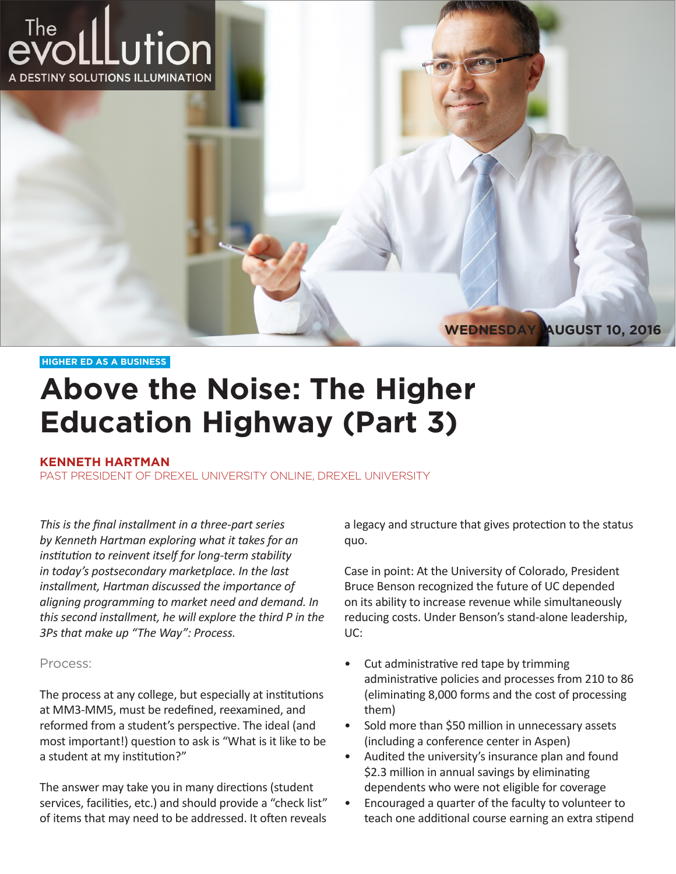

#### **HIGHER ED AS A BUSINESS**

# **Above the Noise: The Higher Education Highway (Part 3)**

### **KENNETH HARTMAN**

PAST PRESIDENT OF DREXEL UNIVERSITY ONLINE, DREXEL UNIVERSITY

*This is the final installment in a three-part series by Kenneth Hartman exploring what it takes for an institution to reinvent itself for long-term stability in today's postsecondary marketplace. In the last installment, Hartman discussed the importance of aligning programming to market need and demand. In this second installment, he will explore the third P in the 3Ps that make up "The Way": Process.*

### Process:

The process at any college, but especially at institutions at MM3-MM5, must be redefined, reexamined, and reformed from a student's perspective. The ideal (and most important!) question to ask is "What is it like to be a student at my institution?"

The answer may take you in many directions (student services, facilities, etc.) and should provide a "check list" of items that may need to be addressed. It often reveals a legacy and structure that gives protection to the status quo.

Case in point: At the University of Colorado, President Bruce Benson recognized the future of UC depended on its ability to increase revenue while simultaneously reducing costs. Under Benson's stand-alone leadership, UC:

- Cut administrative red tape by trimming administrative policies and processes from 210 to 86 (eliminating 8,000 forms and the cost of processing them)
- Sold more than \$50 million in unnecessary assets (including a conference center in Aspen)
- Audited the university's insurance plan and found \$2.3 million in annual savings by eliminating dependents who were not eligible for coverage
- Encouraged a quarter of the faculty to volunteer to teach one additional course earning an extra stipend